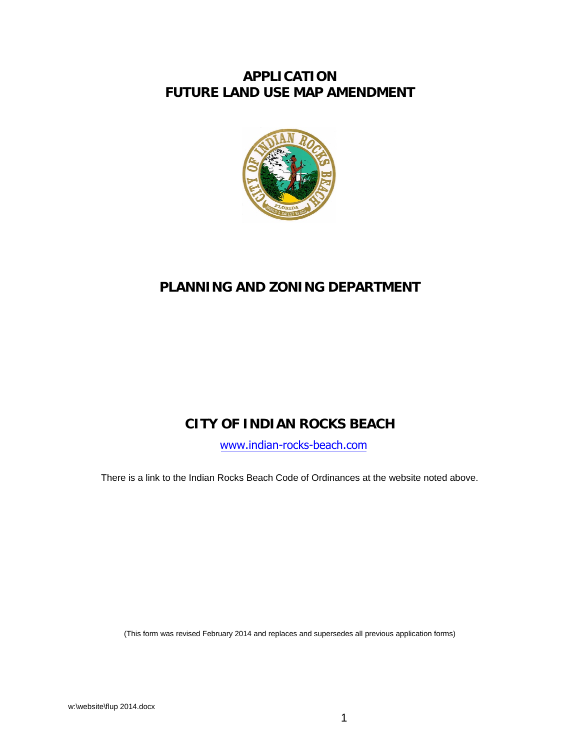## **APPLICATION FUTURE LAND USE MAP AMENDMENT**



# **PLANNING AND ZONING DEPARTMENT**

# **CITY OF INDIAN ROCKS BEACH**

[www.indian-rocks-beach.com](http://www.indian-rocks-beach.com/)

There is a link to the Indian Rocks Beach Code of Ordinances at the website noted above.

(This form was revised February 2014 and replaces and supersedes all previous application forms)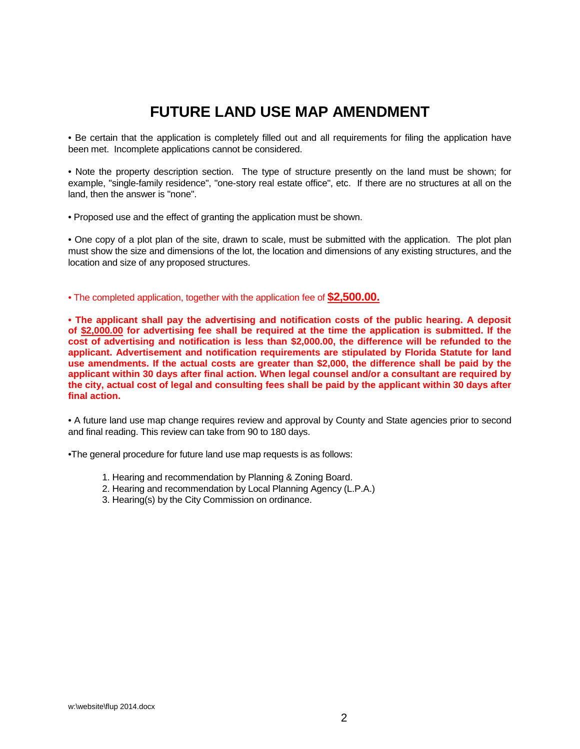# **FUTURE LAND USE MAP AMENDMENT**

• Be certain that the application is completely filled out and all requirements for filing the application have been met. Incomplete applications cannot be considered.

• Note the property description section. The type of structure presently on the land must be shown; for example, "single-family residence", "one-story real estate office", etc. If there are no structures at all on the land, then the answer is "none".

• Proposed use and the effect of granting the application must be shown.

• One copy of a plot plan of the site, drawn to scale, must be submitted with the application. The plot plan must show the size and dimensions of the lot, the location and dimensions of any existing structures, and the location and size of any proposed structures.

• The completed application, together with the application fee of **\$2,500.00.**

**• The applicant shall pay the advertising and notification costs of the public hearing. A deposit of \$2,000.00 for advertising fee shall be required at the time the application is submitted. If the cost of advertising and notification is less than \$2,000.00, the difference will be refunded to the applicant. Advertisement and notification requirements are stipulated by Florida Statute for land use amendments. If the actual costs are greater than \$2,000, the difference shall be paid by the applicant within 30 days after final action. When legal counsel and/or a consultant are required by the city, actual cost of legal and consulting fees shall be paid by the applicant within 30 days after final action.**

• A future land use map change requires review and approval by County and State agencies prior to second and final reading. This review can take from 90 to 180 days.

•The general procedure for future land use map requests is as follows:

- 1. Hearing and recommendation by Planning & Zoning Board.
- 2. Hearing and recommendation by Local Planning Agency (L.P.A.)
- 3. Hearing(s) by the City Commission on ordinance.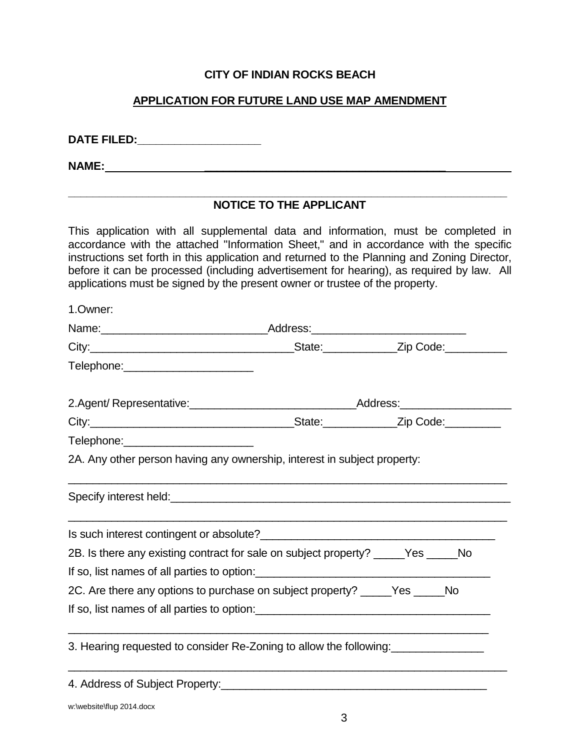## **CITY OF INDIAN ROCKS BEACH**

## **APPLICATION FOR FUTURE LAND USE MAP AMENDMENT**

**DATE FILED:\_\_\_\_\_\_\_\_\_\_\_\_\_\_\_\_\_\_\_\_**

**NAME:**  $\qquad \qquad \qquad$ 

#### **\_\_\_\_\_\_\_\_\_\_\_\_\_\_\_\_\_\_\_\_\_\_\_\_\_\_\_\_\_\_\_\_\_\_\_\_\_\_\_\_\_\_\_\_\_\_\_\_\_\_\_\_\_\_\_\_\_\_\_\_\_\_\_\_\_\_\_\_\_\_\_ NOTICE TO THE APPLICANT**

This application with all supplemental data and information, must be completed in accordance with the attached "Information Sheet," and in accordance with the specific instructions set forth in this application and returned to the Planning and Zoning Director, before it can be processed (including advertisement for hearing), as required by law. All applications must be signed by the present owner or trustee of the property.

| 1.Owner:                                                                                                                                                                                                                             |  |  |
|--------------------------------------------------------------------------------------------------------------------------------------------------------------------------------------------------------------------------------------|--|--|
|                                                                                                                                                                                                                                      |  |  |
|                                                                                                                                                                                                                                      |  |  |
| Telephone:________________________                                                                                                                                                                                                   |  |  |
|                                                                                                                                                                                                                                      |  |  |
|                                                                                                                                                                                                                                      |  |  |
| Telephone:_________________________                                                                                                                                                                                                  |  |  |
| 2A. Any other person having any ownership, interest in subject property:                                                                                                                                                             |  |  |
| Specify interest held: <u>contract the set of the set of the set of the set of the set of the set of the set of the set of the set of the set of the set of the set of the set of the set of the set of the set of the set of th</u> |  |  |
| Is such interest contingent or absolute?<br><u> and</u> the such interest contingent or absolute?<br><u> and the such interest contingent or absolute?</u>                                                                           |  |  |
| 2B. Is there any existing contract for sale on subject property? _____Yes _____No                                                                                                                                                    |  |  |
| If so, list names of all parties to option:                                                                                                                                                                                          |  |  |
| 2C. Are there any options to purchase on subject property? _____Yes _____No                                                                                                                                                          |  |  |
| If so, list names of all parties to option: 1000 minutes and the set of all parties to option:                                                                                                                                       |  |  |
| 3. Hearing requested to consider Re-Zoning to allow the following:                                                                                                                                                                   |  |  |
|                                                                                                                                                                                                                                      |  |  |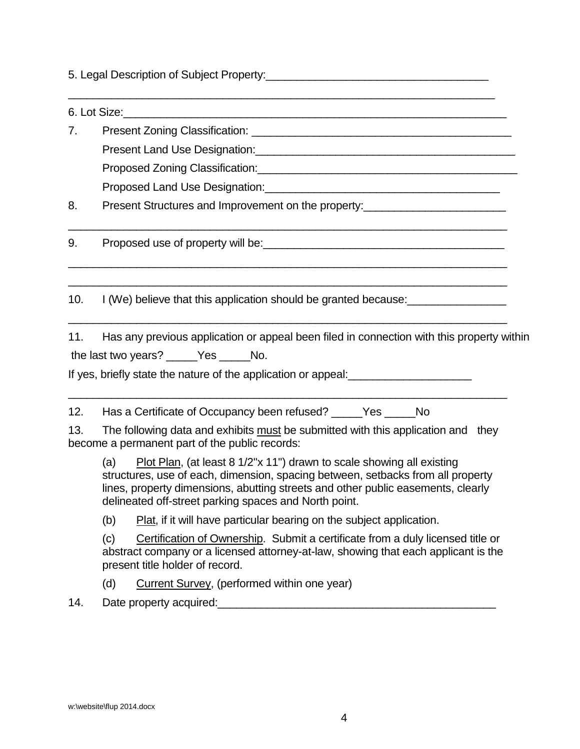5. Legal Description of Subject Property: **Example 2018** 

 $\_$  , and the set of the set of the set of the set of the set of the set of the set of the set of the set of the set of the set of the set of the set of the set of the set of the set of the set of the set of the set of th  $6.$  Lot Size: 7. Present Zoning Classification: **Example 2018** Present Land Use Designation:\_\_\_\_\_\_\_\_\_\_\_\_\_\_\_\_\_\_\_\_\_\_\_\_\_\_\_\_\_\_\_\_\_\_\_\_\_\_\_\_\_\_ Proposed Zoning Classification:\_\_\_\_\_\_\_\_\_\_\_\_\_\_\_\_\_\_\_\_\_\_\_\_\_\_\_\_\_\_\_\_\_\_\_\_\_\_\_\_\_\_ Proposed Land Use Designation:\_\_\_\_\_\_\_\_\_\_\_\_\_\_\_\_\_\_\_\_\_\_\_\_\_\_\_\_\_\_\_\_\_\_\_\_\_\_ 8. Present Structures and Improvement on the property: \_\_\_\_\_\_\_\_\_\_\_\_\_\_\_\_\_\_\_\_\_\_\_\_\_\_\_\_\_\_\_\_\_\_\_\_\_\_\_\_\_\_\_\_\_\_\_\_\_\_\_\_\_\_\_\_\_\_\_\_\_\_\_\_\_\_\_\_\_\_\_ 9. Proposed use of property will be: \_\_\_\_\_\_\_\_\_\_\_\_\_\_\_\_\_\_\_\_\_\_\_\_\_\_\_\_\_\_\_\_\_\_\_\_\_\_\_\_\_\_\_\_\_\_\_\_\_\_\_\_\_\_\_\_\_\_\_\_\_\_\_\_\_\_\_\_\_\_\_ \_\_\_\_\_\_\_\_\_\_\_\_\_\_\_\_\_\_\_\_\_\_\_\_\_\_\_\_\_\_\_\_\_\_\_\_\_\_\_\_\_\_\_\_\_\_\_\_\_\_\_\_\_\_\_\_\_\_\_\_\_\_\_\_\_\_\_\_\_\_\_ 10. I (We) believe that this application should be granted because: \_\_\_\_\_\_\_\_\_\_\_\_\_\_\_\_\_\_\_\_\_\_\_\_\_\_\_\_\_\_\_\_\_\_\_\_\_\_\_\_\_\_\_\_\_\_\_\_\_\_\_\_\_\_\_\_\_\_\_\_\_\_\_\_\_\_\_\_\_\_\_ 11. Has any previous application or appeal been filed in connection with this property within the last two years? \_\_\_\_\_Yes \_\_\_\_\_ No. If yes, briefly state the nature of the application or appeal: \_\_\_\_\_\_\_\_\_\_\_\_\_\_\_\_\_\_ \_\_\_\_\_\_\_\_\_\_\_\_\_\_\_\_\_\_\_\_\_\_\_\_\_\_\_\_\_\_\_\_\_\_\_\_\_\_\_\_\_\_\_\_\_\_\_\_\_\_\_\_\_\_\_\_\_\_\_\_\_\_\_\_\_\_\_\_\_\_\_ 12. Has a Certificate of Occupancy been refused? Yes No 13. The following data and exhibits must be submitted with this application and they become a permanent part of the public records: (a) Plot Plan, (at least  $8 \frac{1}{2}$ "x 11") drawn to scale showing all existing structures, use of each, dimension, spacing between, setbacks from all property lines, property dimensions, abutting streets and other public easements, clearly delineated off-street parking spaces and North point.

(b) Plat, if it will have particular bearing on the subject application.

(c) Certification of Ownership. Submit a certificate from a duly licensed title or abstract company or a licensed attorney-at-law, showing that each applicant is the present title holder of record.

(d) Current Survey, (performed within one year)

14. Date property acquired:\_\_\_\_\_\_\_\_\_\_\_\_\_\_\_\_\_\_\_\_\_\_\_\_\_\_\_\_\_\_\_\_\_\_\_\_\_\_\_\_\_\_\_\_\_